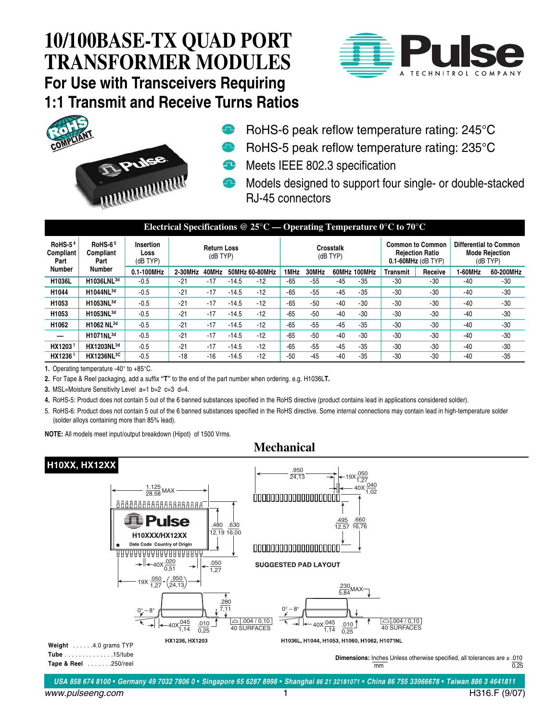



- RoHS-6 peak reflow temperature rating: 245°C
- RoHS-5 peak reflow temperature rating: 235°C
- **Meets IEEE 802.3 specification**
- **T** Models designed to support four single- or double-stacked RJ-45 connectors

| Electrical Specifications @ $25^{\circ}$ C — Operating Temperature 0°C to 70°C |                                               |                                      |                                  |       |         |                |                       |       |       |              |                                                                              |         |                                                             |           |
|--------------------------------------------------------------------------------|-----------------------------------------------|--------------------------------------|----------------------------------|-------|---------|----------------|-----------------------|-------|-------|--------------|------------------------------------------------------------------------------|---------|-------------------------------------------------------------|-----------|
| RoHS- $54$<br>Compliant<br>Part<br>Number                                      | <b>RoHS-65</b><br>Compliant<br>Part<br>Number | <b>Insertion</b><br>Loss<br>(dB TYP) | <b>Return Loss</b><br>$(dB$ TYP) |       |         |                | Crosstalk<br>(dB TYP) |       |       |              | <b>Common to Common</b><br><b>Rejection Ratio</b><br>$0.1 - 60$ MHz (dB TYP) |         | Differential to Common<br><b>Mode Rejection</b><br>(dB TYP) |           |
|                                                                                |                                               | 0.1-100MHz                           | 2-30MHz                          | 40MHz |         | 50MHz 60-80MHz | 1MHz                  | 30MHz |       | 60MHz 100MHz | <b>Transmit</b>                                                              | Receive | 1-60MHz                                                     | 60-200MHz |
| H1036L                                                                         | H1036LNL3d                                    | $-0.5$                               | $-21$                            | $-17$ | $-14.5$ | $-12$          | $-65$                 | $-55$ | $-45$ | $-35$        | -30                                                                          | $-30$   | $-40$                                                       | -30       |
| H1044                                                                          | H1044NL <sup>3d</sup>                         | $-0.5$                               | $-21$                            | $-17$ | $-14.5$ | $-12$          | $-65$                 | $-55$ | $-45$ | $-35$        | $-30$                                                                        | $-30$   | $-40$                                                       | $-30$     |
| H1053                                                                          | H1053NL <sup>3d</sup>                         | $-0.5$                               | $-21$                            | $-17$ | $-14.5$ | $-12$          | $-65$                 | $-50$ | $-40$ | $-30$        | $-30$                                                                        | $-30$   | $-40$                                                       | $-30$     |
| H1053                                                                          | H1053NL <sup>3d</sup>                         | $-0.5$                               | $-21$                            | $-17$ | $-14.5$ | $-12$          | $-65$                 | $-50$ | $-40$ | $-30$        | $-30$                                                                        | $-30$   | $-40$                                                       | $-30$     |
| H1062                                                                          | H1062 NL <sup>3d</sup>                        | $-0.5$                               | $-21$                            | $-17$ | $-14.5$ | $-12$          | $-65$                 | $-55$ | $-45$ | $-35$        | $-30$                                                                        | $-30$   | $-40$                                                       | $-30$     |
|                                                                                | H1071NL <sup>3d</sup>                         | $-0.5$                               | $-21$                            | $-17$ | $-14.5$ | $-12$          | $-65$                 | $-50$ | $-40$ | $-30$        | $-30$                                                                        | $-30$   | $-40$                                                       | $-30$     |
| HX1203 <sup>1</sup>                                                            | HX1203NL <sup>3d</sup>                        | $-0.5$                               | $-21$                            | $-17$ | $-14.5$ | $-12$          | $-65$                 | $-55$ | $-45$ | $-35$        | $-30$                                                                        | $-30$   | $-40$                                                       | $-30$     |
| HX12361                                                                        | <b>HX1236NL3C</b>                             | $-0.5$                               | -18                              | $-16$ | $-14.5$ | $-12$          | $-50$                 | $-45$ | -40   | $-35$        | $-30$                                                                        | $-30$   | $-40$                                                       | $-35$     |

**1.** Operating temperature -40**°** to +85**°**C.

**2.** For Tape & Reel packaging, add a suffix **"T"** to the end of the part number when ordering. e.g. H1036L**T.**

**3.** MSL=Moisture Sensitivity Level a=1 b=2 c=3 d=4.

**4.** RoHS-5: Product does not contain 5 out of the 6 banned substances specified in the RoHS directive (product contains lead in applications considered solder).

5. RoHS-6: Product does not contain 5 out of the 6 banned substances specified in the RoHS directive. Some internal connections may contain lead in high-temperature solder (solder alloys containing more than 85% lead).

**NOTE:** All models meet input/output breakdown (Hipot) of 1500 Vrms.

#### **Mechanical**

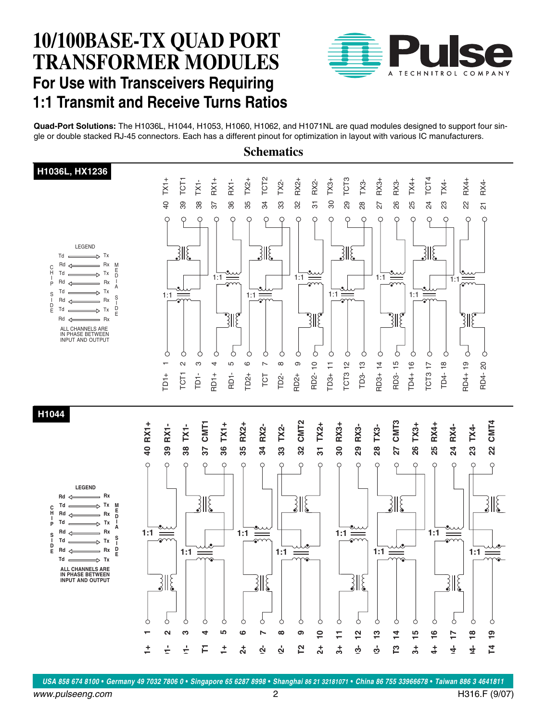

**Quad-Port Solutions:** The H1036L, H1044, H1053, H1060, H1062, and H1071NL are quad modules designed to support four single or double stacked RJ-45 connectors. Each has a different pinout for optimization in layout with various IC manufacturers.

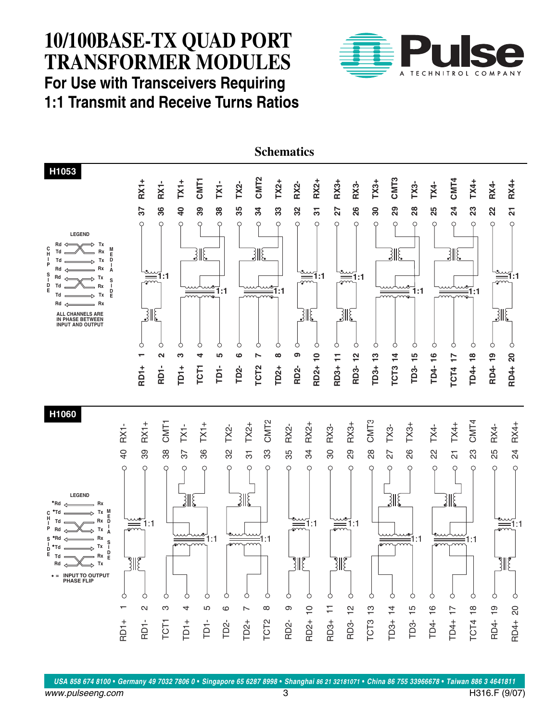

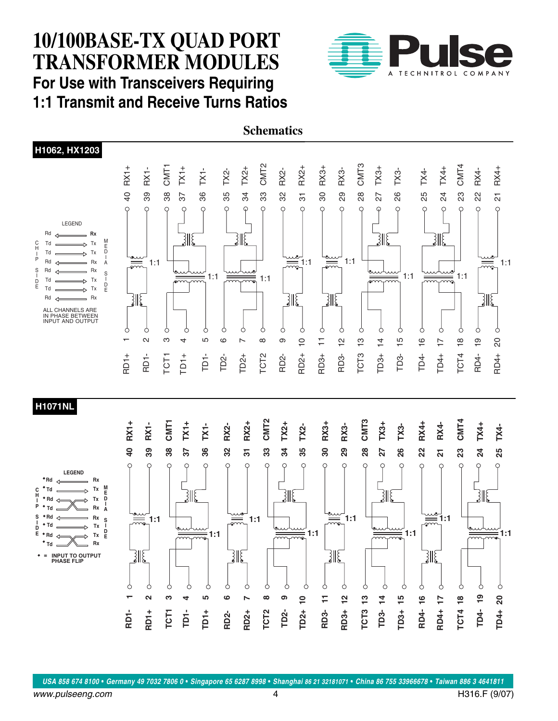